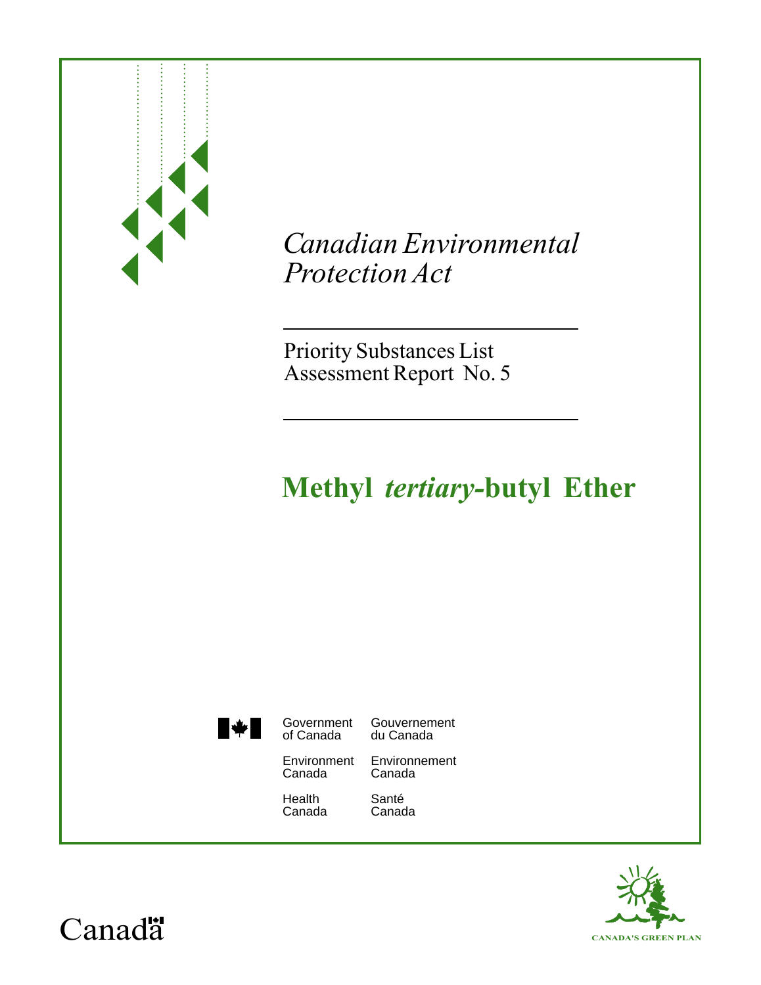|                       | <b>Canadian Environmental</b><br>Protection Act<br><b>Priority Substances List</b><br>Assessment Report No. 5<br><b>Methyl tertiary-butyl Ether</b> |                                                                         |
|-----------------------|-----------------------------------------------------------------------------------------------------------------------------------------------------|-------------------------------------------------------------------------|
| $\blacktriangleright$ | Government<br>of Canada<br>Environment<br>Canada<br>Health<br>Canada                                                                                | Gouvernement<br>du Canada<br>Environnement<br>Canada<br>Santé<br>Canada |

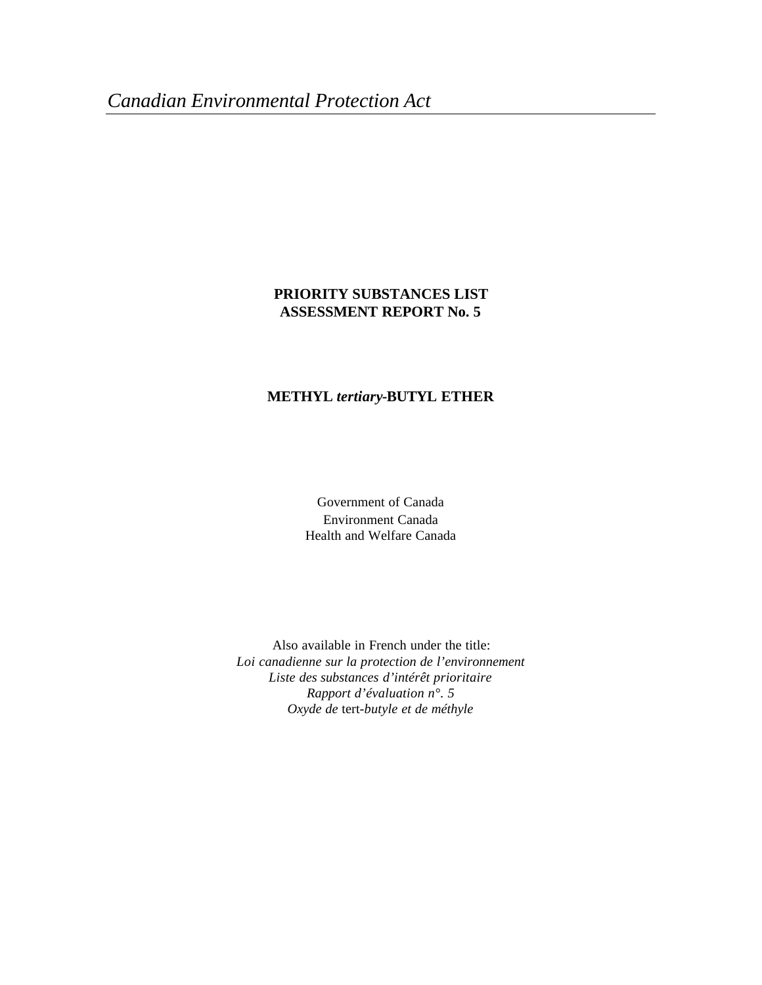## **PRIORITY SUBSTANCES LIST ASSESSMENT REPORT No. 5**

# **METHYL** *tertiary***-BUTYL ETHER**

Government of Canada Environment Canada Health and Welfare Canada

Also available in French under the title: *Loi canadienne sur la protection de l'environnement Liste des substances d'intérêt prioritaire Rapport d'évaluation n°. 5 Oxyde de* tert*-butyle et de méthyle*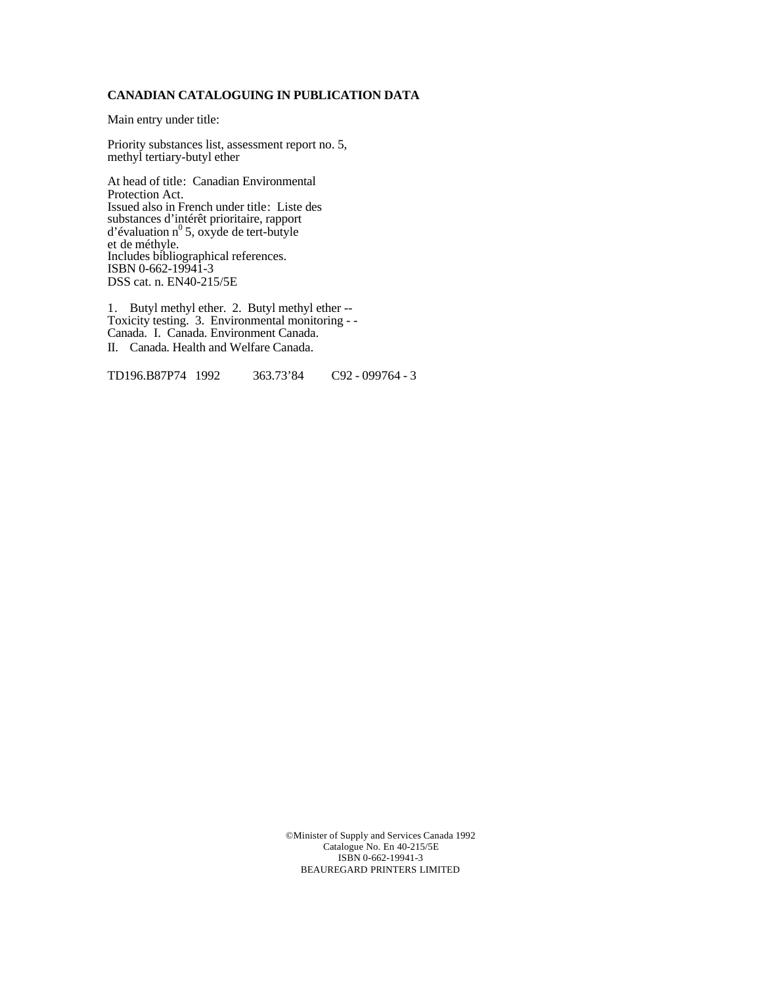#### **CANADIAN CATALOGUING IN PUBLICATION DATA**

Main entry under title:

Priority substances list, assessment report no. 5, methyl tertiary-butyl ether

At head of title: Canadian Environmental Protection Act. Issued also in French under title: Liste des substances d'intérêt prioritaire, rapport d'évaluation n<sup>0</sup>5, oxyde de tert-butyle et de méthyle. Includes bibliographical references. ISBN 0-662-19941-3 DSS cat. n. EN40-215/5E

1. Butyl methyl ether. 2. Butyl methyl ether -- Toxicity testing. 3. Environmental monitoring - - Canada. I. Canada. Environment Canada. II. Canada. Health and Welfare Canada.

TD196.B87P74 1992 363.73'84 C92 - 099764 - 3

©Minister of Supply and Services Canada 1992 Catalogue No. En 40-215/5E ISBN 0-662-19941-3 BEAUREGARD PRINTERS LIMITED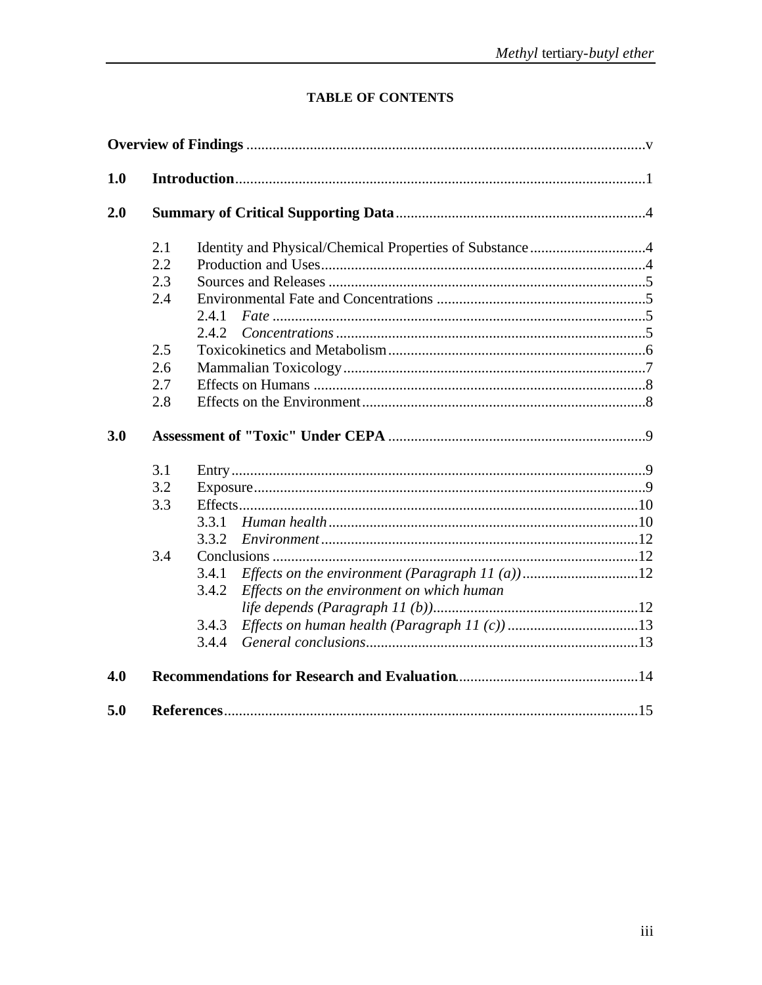# TABLE OF CONTENTS

| 2.1 | Identity and Physical/Chemical Properties of Substance4 |  |
|-----|---------------------------------------------------------|--|
| 2.2 |                                                         |  |
| 2.3 |                                                         |  |
| 2.4 |                                                         |  |
|     | 2.4.1                                                   |  |
|     | 2.4.2.                                                  |  |
| 2.5 |                                                         |  |
| 2.6 |                                                         |  |
| 2.7 |                                                         |  |
| 2.8 |                                                         |  |
| 3.1 |                                                         |  |
|     |                                                         |  |
| 3.2 |                                                         |  |
| 3.3 |                                                         |  |
|     | 3.3.1                                                   |  |
|     | 3.3.2                                                   |  |
| 3.4 |                                                         |  |
|     | 3.4.1                                                   |  |
|     | 3.4.2                                                   |  |
|     | Effects on the environment on which human               |  |
|     | 3.4.3                                                   |  |
|     | 3.4.4                                                   |  |
|     |                                                         |  |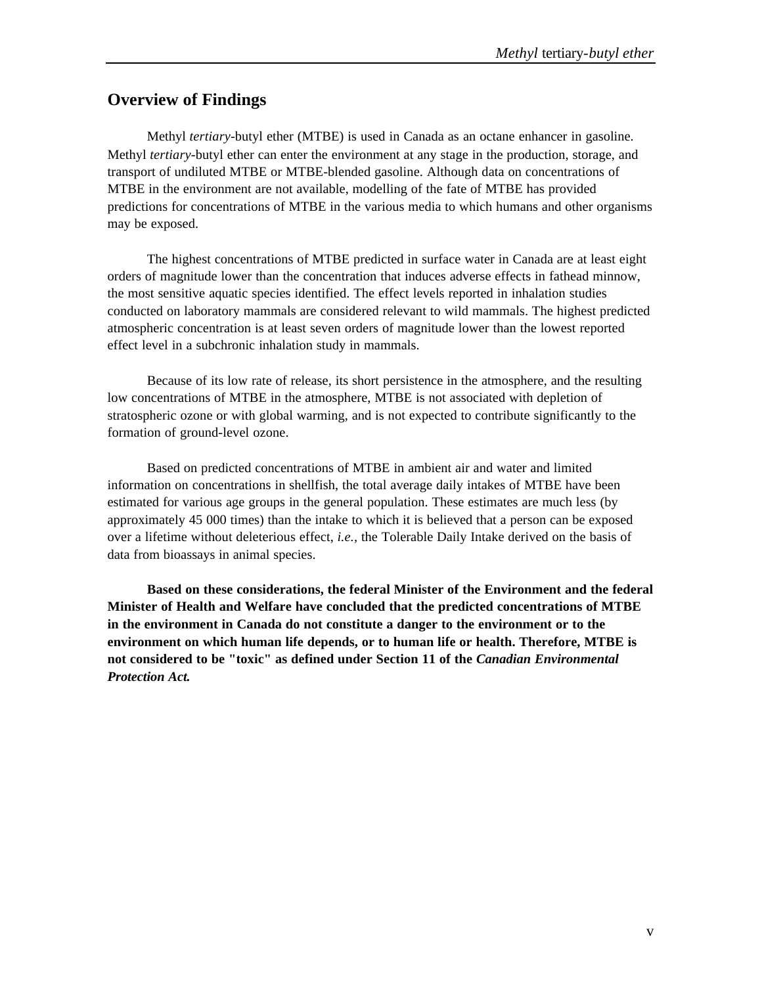# **Overview of Findings**

Methyl *tertiary*-butyl ether (MTBE) is used in Canada as an octane enhancer in gasoline. Methyl *tertiary*-butyl ether can enter the environment at any stage in the production, storage, and transport of undiluted MTBE or MTBE-blended gasoline. Although data on concentrations of MTBE in the environment are not available, modelling of the fate of MTBE has provided predictions for concentrations of MTBE in the various media to which humans and other organisms may be exposed.

The highest concentrations of MTBE predicted in surface water in Canada are at least eight orders of magnitude lower than the concentration that induces adverse effects in fathead minnow, the most sensitive aquatic species identified. The effect levels reported in inhalation studies conducted on laboratory mammals are considered relevant to wild mammals. The highest predicted atmospheric concentration is at least seven orders of magnitude lower than the lowest reported effect level in a subchronic inhalation study in mammals.

Because of its low rate of release, its short persistence in the atmosphere, and the resulting low concentrations of MTBE in the atmosphere, MTBE is not associated with depletion of stratospheric ozone or with global warming, and is not expected to contribute significantly to the formation of ground-level ozone.

Based on predicted concentrations of MTBE in ambient air and water and limited information on concentrations in shellfish, the total average daily intakes of MTBE have been estimated for various age groups in the general population. These estimates are much less (by approximately 45 000 times) than the intake to which it is believed that a person can be exposed over a lifetime without deleterious effect, *i.e.,* the Tolerable Daily Intake derived on the basis of data from bioassays in animal species.

**Based on these considerations, the federal Minister of the Environment and the federal Minister of Health and Welfare have concluded that the predicted concentrations of MTBE in the environment in Canada do not constitute a danger to the environment or to the environment on which human life depends, or to human life or health. Therefore, MTBE is not considered to be "toxic" as defined under Section 11 of the** *Canadian Environmental Protection Act.*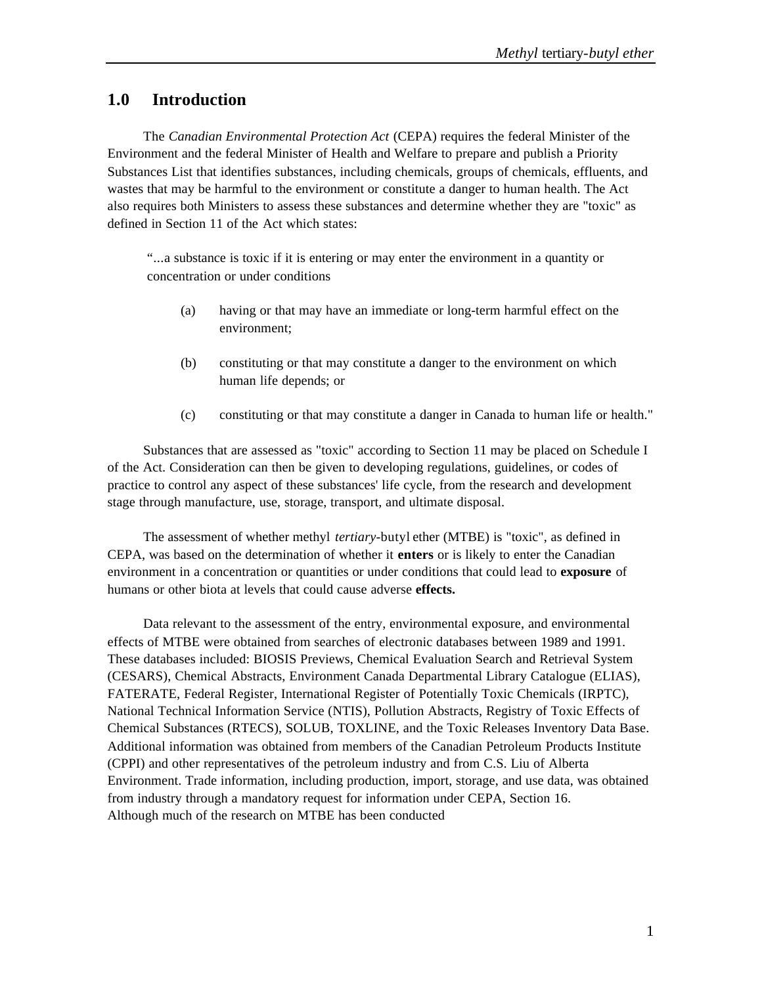# **1.0 Introduction**

The *Canadian Environmental Protection Act* (CEPA) requires the federal Minister of the Environment and the federal Minister of Health and Welfare to prepare and publish a Priority Substances List that identifies substances, including chemicals, groups of chemicals, effluents, and wastes that may be harmful to the environment or constitute a danger to human health. The Act also requires both Ministers to assess these substances and determine whether they are "toxic" as defined in Section 11 of the Act which states:

"...a substance is toxic if it is entering or may enter the environment in a quantity or concentration or under conditions

- (a) having or that may have an immediate or long-term harmful effect on the environment;
- (b) constituting or that may constitute a danger to the environment on which human life depends; or
- (c) constituting or that may constitute a danger in Canada to human life or health."

Substances that are assessed as "toxic" according to Section 11 may be placed on Schedule I of the Act. Consideration can then be given to developing regulations, guidelines, or codes of practice to control any aspect of these substances' life cycle, from the research and development stage through manufacture, use, storage, transport, and ultimate disposal.

The assessment of whether methyl *tertiary-*butyl ether (MTBE) is "toxic", as defined in CEPA, was based on the determination of whether it **enters** or is likely to enter the Canadian environment in a concentration or quantities or under conditions that could lead to **exposure** of humans or other biota at levels that could cause adverse **effects.**

Data relevant to the assessment of the entry, environmental exposure, and environmental effects of MTBE were obtained from searches of electronic databases between 1989 and 1991. These databases included: BIOSIS Previews, Chemical Evaluation Search and Retrieval System (CESARS), Chemical Abstracts, Environment Canada Departmental Library Catalogue (ELIAS), FATERATE, Federal Register, International Register of Potentially Toxic Chemicals (IRPTC), National Technical Information Service (NTIS), Pollution Abstracts, Registry of Toxic Effects of Chemical Substances (RTECS), SOLUB, TOXLINE, and the Toxic Releases Inventory Data Base. Additional information was obtained from members of the Canadian Petroleum Products Institute (CPPI) and other representatives of the petroleum industry and from C.S. Liu of Alberta Environment. Trade information, including production, import, storage, and use data, was obtained from industry through a mandatory request for information under CEPA, Section 16. Although much of the research on MTBE has been conducted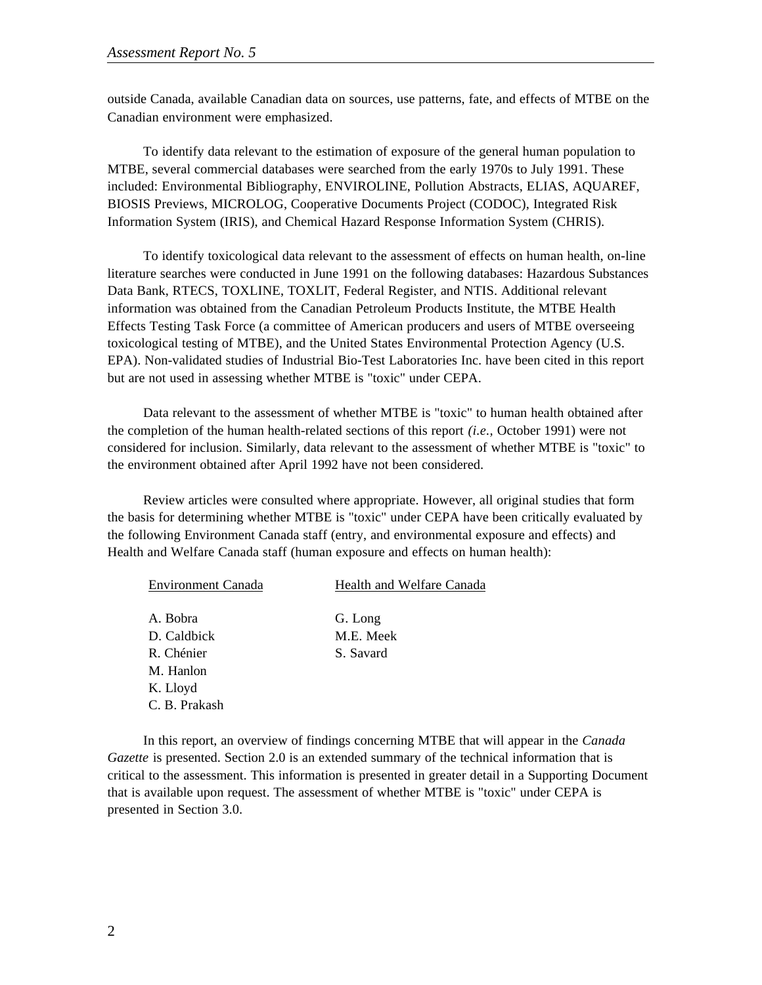outside Canada, available Canadian data on sources, use patterns, fate, and effects of MTBE on the Canadian environment were emphasized.

To identify data relevant to the estimation of exposure of the general human population to MTBE, several commercial databases were searched from the early 1970s to July 1991. These included: Environmental Bibliography, ENVIROLINE, Pollution Abstracts, ELIAS, AQUAREF, BIOSIS Previews, MICROLOG, Cooperative Documents Project (CODOC), Integrated Risk Information System (IRIS), and Chemical Hazard Response Information System (CHRIS).

To identify toxicological data relevant to the assessment of effects on human health, on-line literature searches were conducted in June 1991 on the following databases: Hazardous Substances Data Bank, RTECS, TOXLINE, TOXLIT, Federal Register, and NTIS. Additional relevant information was obtained from the Canadian Petroleum Products Institute, the MTBE Health Effects Testing Task Force (a committee of American producers and users of MTBE overseeing toxicological testing of MTBE), and the United States Environmental Protection Agency (U.S. EPA). Non-validated studies of Industrial Bio-Test Laboratories Inc. have been cited in this report but are not used in assessing whether MTBE is "toxic" under CEPA.

Data relevant to the assessment of whether MTBE is "toxic" to human health obtained after the completion of the human health-related sections of this report *(i.e.,* October 1991) were not considered for inclusion. Similarly, data relevant to the assessment of whether MTBE is "toxic" to the environment obtained after April 1992 have not been considered.

Review articles were consulted where appropriate. However, all original studies that form the basis for determining whether MTBE is "toxic" under CEPA have been critically evaluated by the following Environment Canada staff (entry, and environmental exposure and effects) and Health and Welfare Canada staff (human exposure and effects on human health):

| <b>Environment Canada</b> | Health and Welfare Canada |  |
|---------------------------|---------------------------|--|
| A. Bobra                  | G. Long                   |  |
|                           |                           |  |
| D. Caldbick               | M.E. Meek                 |  |
| R. Chénier                | S. Savard                 |  |
| M. Hanlon                 |                           |  |
| K. Lloyd                  |                           |  |
| C. B. Prakash             |                           |  |

In this report, an overview of findings concerning MTBE that will appear in the *Canada Gazette* is presented. Section 2.0 is an extended summary of the technical information that is critical to the assessment. This information is presented in greater detail in a Supporting Document that is available upon request. The assessment of whether MTBE is "toxic" under CEPA is presented in Section 3.0.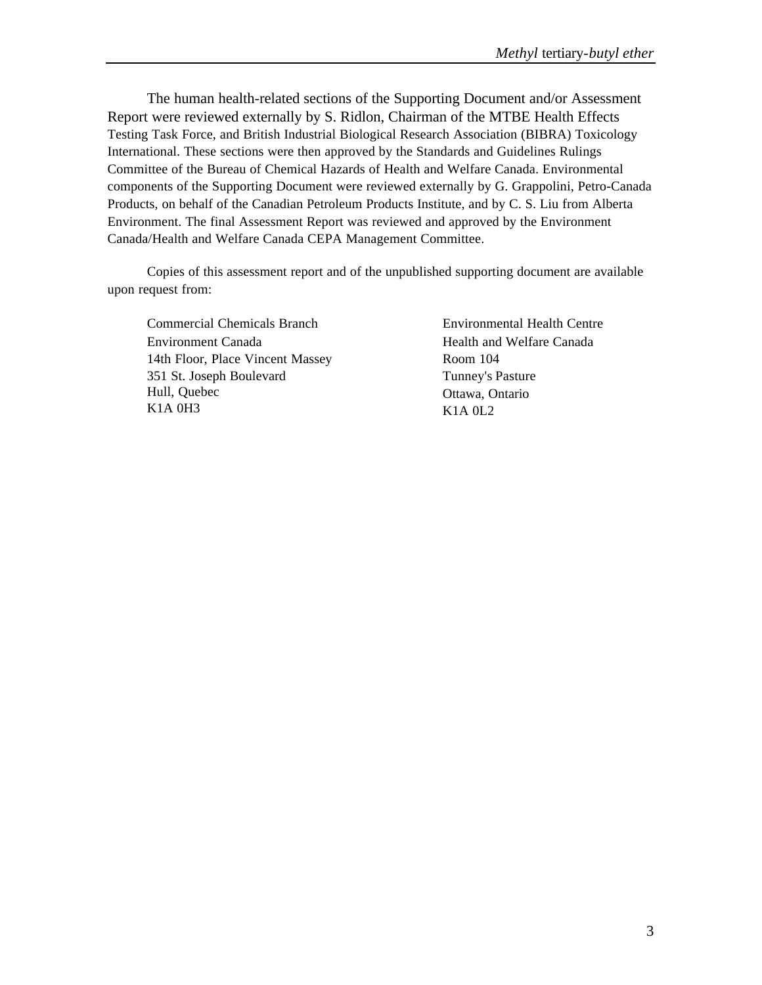The human health-related sections of the Supporting Document and/or Assessment Report were reviewed externally by S. Ridlon, Chairman of the MTBE Health Effects Testing Task Force, and British Industrial Biological Research Association (BIBRA) Toxicology International. These sections were then approved by the Standards and Guidelines Rulings Committee of the Bureau of Chemical Hazards of Health and Welfare Canada. Environmental components of the Supporting Document were reviewed externally by G. Grappolini, Petro-Canada Products, on behalf of the Canadian Petroleum Products Institute, and by C. S. Liu from Alberta Environment. The final Assessment Report was reviewed and approved by the Environment Canada/Health and Welfare Canada CEPA Management Committee.

Copies of this assessment report and of the unpublished supporting document are available upon request from:

Commercial Chemicals Branch Environment Canada 14th Floor, Place Vincent Massey 351 St. Joseph Boulevard Hull, Quebec K1A 0H3

Environmental Health Centre Health and Welfare Canada Room 104 Tunney's Pasture Ottawa, Ontario K1A 0L2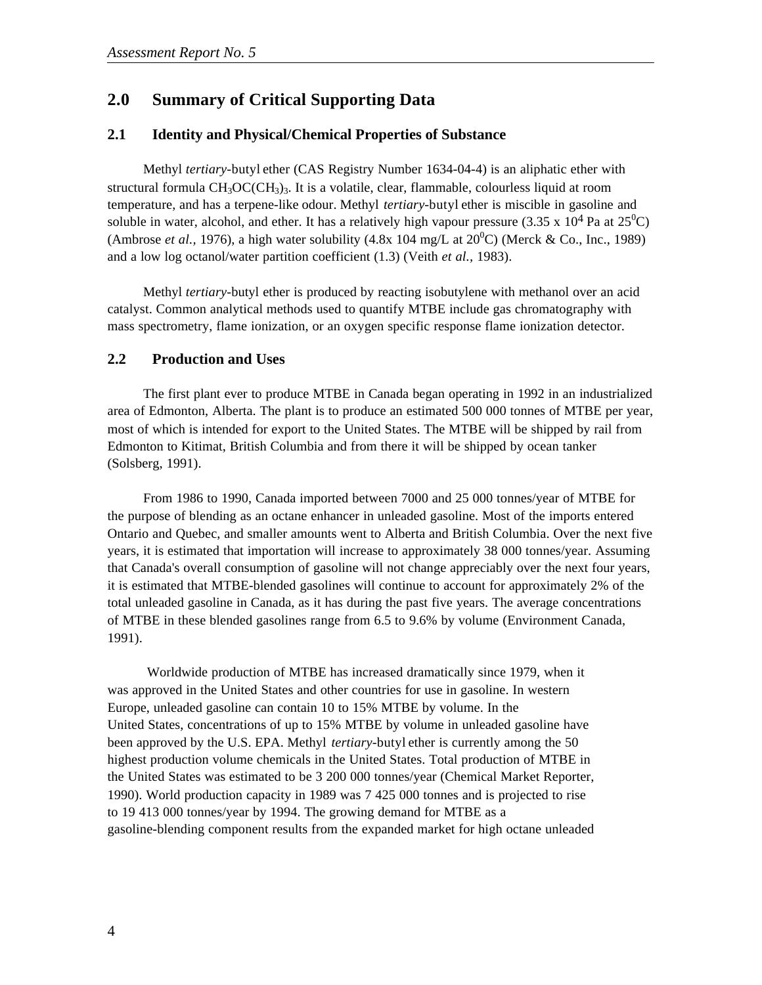# **2.0 Summary of Critical Supporting Data**

#### **2.1 Identity and Physical/Chemical Properties of Substance**

Methyl *tertiary*-butyl ether (CAS Registry Number 1634-04-4) is an aliphatic ether with structural formula  $CH_3OC(CH_3)$ <sup>3</sup>. It is a volatile, clear, flammable, colourless liquid at room temperature, and has a terpene-like odour. Methyl *tertiary-*butyl ether is miscible in gasoline and soluble in water, alcohol, and ether. It has a relatively high vapour pressure (3.35 x  $10^4$  Pa at  $25^0$ C) (Ambrose *et al.*, 1976), a high water solubility (4.8x 104 mg/L at  $20^{\circ}$ C) (Merck & Co., Inc., 1989) and a low log octanol/water partition coefficient (1.3) (Veith *et al.,* 1983).

Methyl *tertiary-*butyl ether is produced by reacting isobutylene with methanol over an acid catalyst. Common analytical methods used to quantify MTBE include gas chromatography with mass spectrometry, flame ionization, or an oxygen specific response flame ionization detector.

#### **2.2 Production and Uses**

The first plant ever to produce MTBE in Canada began operating in 1992 in an industrialized area of Edmonton, Alberta. The plant is to produce an estimated 500 000 tonnes of MTBE per year, most of which is intended for export to the United States. The MTBE will be shipped by rail from Edmonton to Kitimat, British Columbia and from there it will be shipped by ocean tanker (Solsberg, 1991).

From 1986 to 1990, Canada imported between 7000 and 25 000 tonnes/year of MTBE for the purpose of blending as an octane enhancer in unleaded gasoline. Most of the imports entered Ontario and Quebec, and smaller amounts went to Alberta and British Columbia. Over the next five years, it is estimated that importation will increase to approximately 38 000 tonnes/year. Assuming that Canada's overall consumption of gasoline will not change appreciably over the next four years, it is estimated that MTBE-blended gasolines will continue to account for approximately 2% of the total unleaded gasoline in Canada, as it has during the past five years. The average concentrations of MTBE in these blended gasolines range from 6.5 to 9.6% by volume (Environment Canada, 1991).

Worldwide production of MTBE has increased dramatically since 1979, when it was approved in the United States and other countries for use in gasoline. In western Europe, unleaded gasoline can contain 10 to 15% MTBE by volume. In the United States, concentrations of up to 15% MTBE by volume in unleaded gasoline have been approved by the U.S. EPA. Methyl *tertiary-*butyl ether is currently among the 50 highest production volume chemicals in the United States. Total production of MTBE in the United States was estimated to be 3 200 000 tonnes/year (Chemical Market Reporter, 1990). World production capacity in 1989 was 7 425 000 tonnes and is projected to rise to 19 413 000 tonnes/year by 1994. The growing demand for MTBE as a gasoline-blending component results from the expanded market for high octane unleaded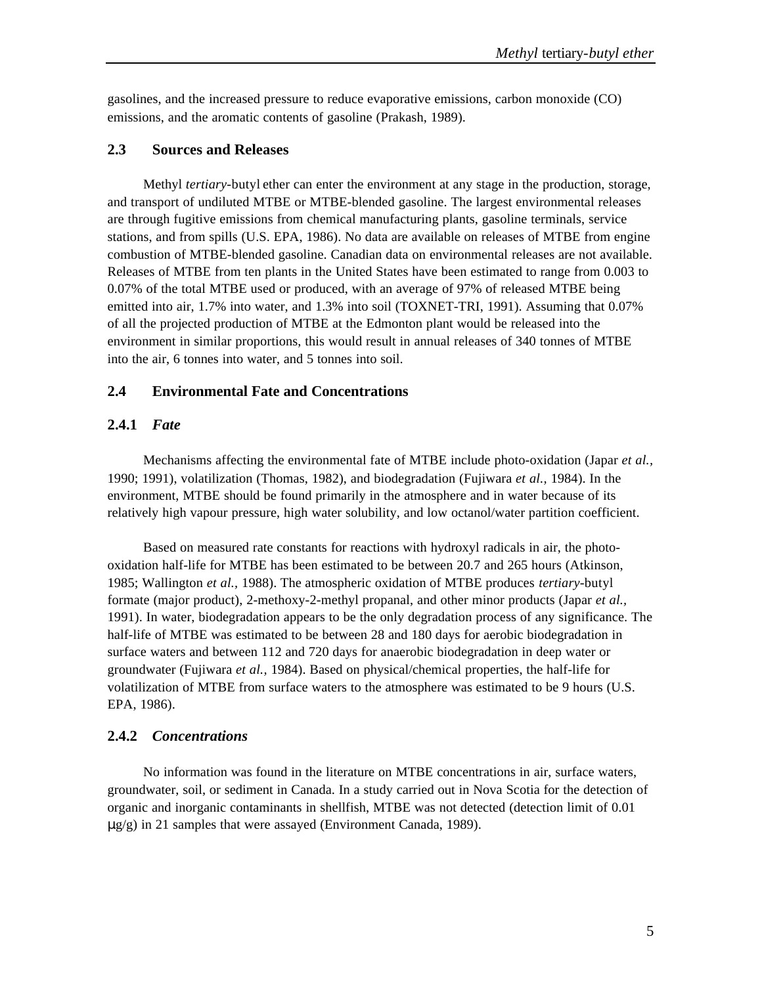gasolines, and the increased pressure to reduce evaporative emissions, carbon monoxide (CO) emissions, and the aromatic contents of gasoline (Prakash, 1989).

#### **2.3 Sources and Releases**

Methyl *tertiary*-butyl ether can enter the environment at any stage in the production, storage, and transport of undiluted MTBE or MTBE-blended gasoline. The largest environmental releases are through fugitive emissions from chemical manufacturing plants, gasoline terminals, service stations, and from spills (U.S. EPA, 1986). No data are available on releases of MTBE from engine combustion of MTBE-blended gasoline. Canadian data on environmental releases are not available. Releases of MTBE from ten plants in the United States have been estimated to range from 0.003 to 0.07% of the total MTBE used or produced, with an average of 97% of released MTBE being emitted into air, 1.7% into water, and 1.3% into soil (TOXNET-TRI, 1991). Assuming that 0.07% of all the projected production of MTBE at the Edmonton plant would be released into the environment in similar proportions, this would result in annual releases of 340 tonnes of MTBE into the air, 6 tonnes into water, and 5 tonnes into soil.

### **2.4 Environmental Fate and Concentrations**

#### **2.4.1** *Fate*

Mechanisms affecting the environmental fate of MTBE include photo-oxidation (Japar *et al.,* 1990; 1991), volatilization (Thomas, 1982), and biodegradation (Fujiwara *et al.,* 1984). In the environment, MTBE should be found primarily in the atmosphere and in water because of its relatively high vapour pressure, high water solubility, and low octanol/water partition coefficient.

Based on measured rate constants for reactions with hydroxyl radicals in air, the photooxidation half-life for MTBE has been estimated to be between 20.7 and 265 hours (Atkinson, 1985; Wallington *et al.,* 1988). The atmospheric oxidation of MTBE produces *tertiary-*butyl formate (major product), 2-methoxy-2-methyl propanal, and other minor products (Japar *et al.,* 1991). In water, biodegradation appears to be the only degradation process of any significance. The half-life of MTBE was estimated to be between 28 and 180 days for aerobic biodegradation in surface waters and between 112 and 720 days for anaerobic biodegradation in deep water or groundwater (Fujiwara *et al.,* 1984). Based on physical/chemical properties, the half-life for volatilization of MTBE from surface waters to the atmosphere was estimated to be 9 hours (U.S. EPA, 1986).

#### **2.4.2** *Concentrations*

No information was found in the literature on MTBE concentrations in air, surface waters, groundwater, soil, or sediment in Canada. In a study carried out in Nova Scotia for the detection of organic and inorganic contaminants in shellfish, MTBE was not detected (detection limit of 0.01 μg/g) in 21 samples that were assayed (Environment Canada, 1989).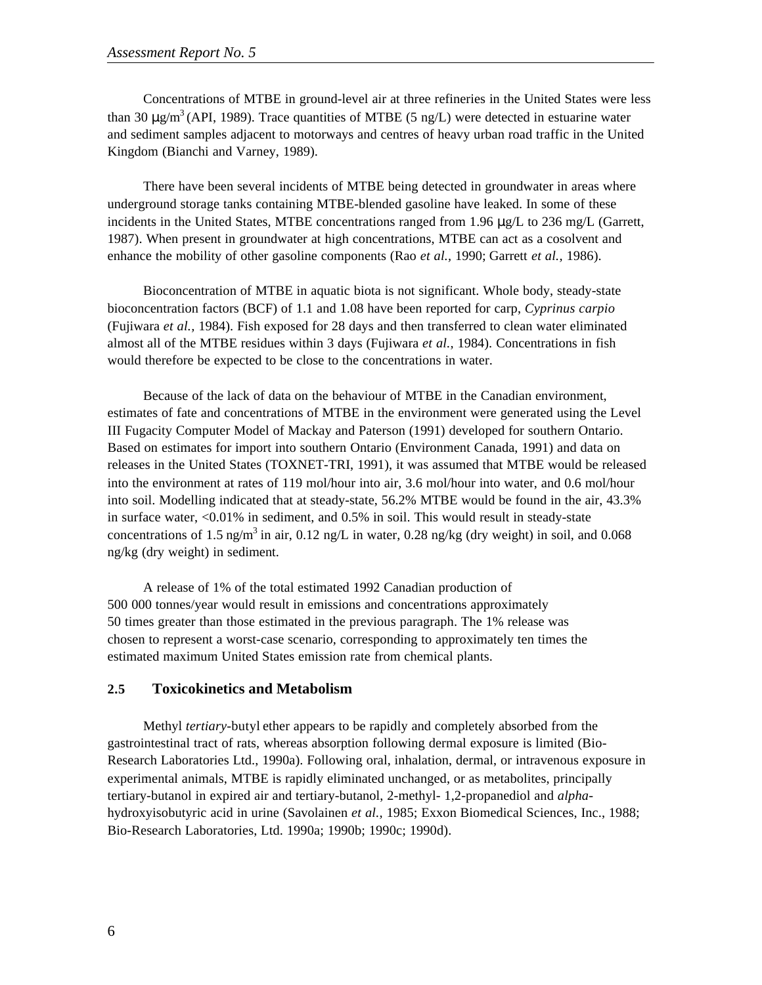Concentrations of MTBE in ground-level air at three refineries in the United States were less than 30  $\mu$ g/m<sup>3</sup> (API, 1989). Trace quantities of MTBE (5 ng/L) were detected in estuarine water and sediment samples adjacent to motorways and centres of heavy urban road traffic in the United Kingdom (Bianchi and Varney, 1989).

There have been several incidents of MTBE being detected in groundwater in areas where underground storage tanks containing MTBE-blended gasoline have leaked. In some of these incidents in the United States, MTBE concentrations ranged from 1.96 μg/L to 236 mg/L (Garrett, 1987). When present in groundwater at high concentrations, MTBE can act as a cosolvent and enhance the mobility of other gasoline components (Rao *et al.,* 1990; Garrett *et al.,* 1986).

Bioconcentration of MTBE in aquatic biota is not significant. Whole body, steady-state bioconcentration factors (BCF) of 1.1 and 1.08 have been reported for carp, *Cyprinus carpio* (Fujiwara *et al.,* 1984). Fish exposed for 28 days and then transferred to clean water eliminated almost all of the MTBE residues within 3 days (Fujiwara *et al.,* 1984). Concentrations in fish would therefore be expected to be close to the concentrations in water.

Because of the lack of data on the behaviour of MTBE in the Canadian environment, estimates of fate and concentrations of MTBE in the environment were generated using the Level III Fugacity Computer Model of Mackay and Paterson (1991) developed for southern Ontario. Based on estimates for import into southern Ontario (Environment Canada, 1991) and data on releases in the United States (TOXNET-TRI, 1991), it was assumed that MTBE would be released into the environment at rates of 119 mol/hour into air, 3.6 mol/hour into water, and 0.6 mol/hour into soil. Modelling indicated that at steady-state, 56.2% MTBE would be found in the air, 43.3% in surface water, <0.01% in sediment, and 0.5% in soil. This would result in steady-state concentrations of 1.5 ng/m<sup>3</sup> in air, 0.12 ng/L in water, 0.28 ng/kg (dry weight) in soil, and 0.068 ng/kg (dry weight) in sediment.

A release of 1% of the total estimated 1992 Canadian production of 500 000 tonnes/year would result in emissions and concentrations approximately 50 times greater than those estimated in the previous paragraph. The 1% release was chosen to represent a worst-case scenario, corresponding to approximately ten times the estimated maximum United States emission rate from chemical plants.

#### **2.5 Toxicokinetics and Metabolism**

Methyl *tertiary-*butyl ether appears to be rapidly and completely absorbed from the gastrointestinal tract of rats, whereas absorption following dermal exposure is limited (Bio-Research Laboratories Ltd., 1990a). Following oral, inhalation, dermal, or intravenous exposure in experimental animals, MTBE is rapidly eliminated unchanged, or as metabolites, principally tertiary-butanol in expired air and tertiary-butanol, 2-methyl- 1,2-propanediol and *alpha*hydroxyisobutyric acid in urine (Savolainen *et al.,* 1985; Exxon Biomedical Sciences, Inc., 1988; Bio-Research Laboratories, Ltd. 1990a; 1990b; 1990c; 1990d).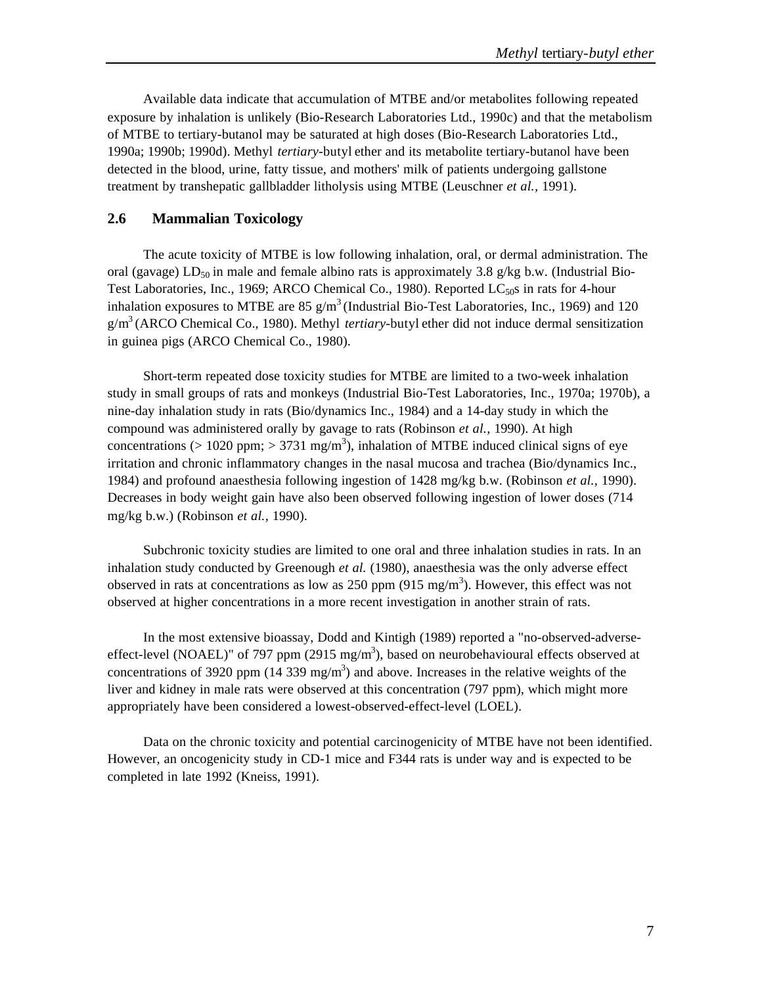Available data indicate that accumulation of MTBE and/or metabolites following repeated exposure by inhalation is unlikely (Bio-Research Laboratories Ltd., 1990c) and that the metabolism of MTBE to tertiary-butanol may be saturated at high doses (Bio-Research Laboratories Ltd., 1990a; 1990b; 1990d). Methyl *tertiary-*butyl ether and its metabolite tertiary-butanol have been detected in the blood, urine, fatty tissue, and mothers' milk of patients undergoing gallstone treatment by transhepatic gallbladder litholysis using MTBE (Leuschner *et al.,* 1991).

### **2.6 Mammalian Toxicology**

The acute toxicity of MTBE is low following inhalation, oral, or dermal administration. The oral (gavage) LD<sub>50</sub> in male and female albino rats is approximately 3.8 g/kg b.w. (Industrial Bio-Test Laboratories, Inc., 1969; ARCO Chemical Co., 1980). Reported  $LC_{50}$ s in rats for 4-hour inhalation exposures to MTBE are  $85 \text{ g/m}^3$  (Industrial Bio-Test Laboratories, Inc., 1969) and 120 g/m<sup>3</sup>(ARCO Chemical Co., 1980). Methyl *tertiary-*butyl ether did not induce dermal sensitization in guinea pigs (ARCO Chemical Co., 1980).

Short-term repeated dose toxicity studies for MTBE are limited to a two-week inhalation study in small groups of rats and monkeys (Industrial Bio-Test Laboratories, Inc., 1970a; 1970b), a nine-day inhalation study in rats (Bio/dynamics Inc., 1984) and a 14-day study in which the compound was administered orally by gavage to rats (Robinson *et al.,* 1990). At high concentrations (> 1020 ppm; > 3731 mg/m<sup>3</sup>), inhalation of MTBE induced clinical signs of eye irritation and chronic inflammatory changes in the nasal mucosa and trachea (Bio/dynamics Inc., 1984) and profound anaesthesia following ingestion of 1428 mg/kg b.w. (Robinson *et al.,* 1990). Decreases in body weight gain have also been observed following ingestion of lower doses (714 mg/kg b.w.) (Robinson *et al.,* 1990).

Subchronic toxicity studies are limited to one oral and three inhalation studies in rats. In an inhalation study conducted by Greenough *et al.* (1980), anaesthesia was the only adverse effect observed in rats at concentrations as low as 250 ppm (915 mg/m<sup>3</sup>). However, this effect was not observed at higher concentrations in a more recent investigation in another strain of rats.

In the most extensive bioassay, Dodd and Kintigh (1989) reported a "no-observed-adverseeffect-level (NOAEL)" of 797 ppm (2915 mg/m<sup>3</sup>), based on neurobehavioural effects observed at concentrations of 3920 ppm (14 339 mg/m<sup>3</sup>) and above. Increases in the relative weights of the liver and kidney in male rats were observed at this concentration (797 ppm), which might more appropriately have been considered a lowest-observed-effect-level (LOEL).

Data on the chronic toxicity and potential carcinogenicity of MTBE have not been identified. However, an oncogenicity study in CD-1 mice and F344 rats is under way and is expected to be completed in late 1992 (Kneiss, 1991).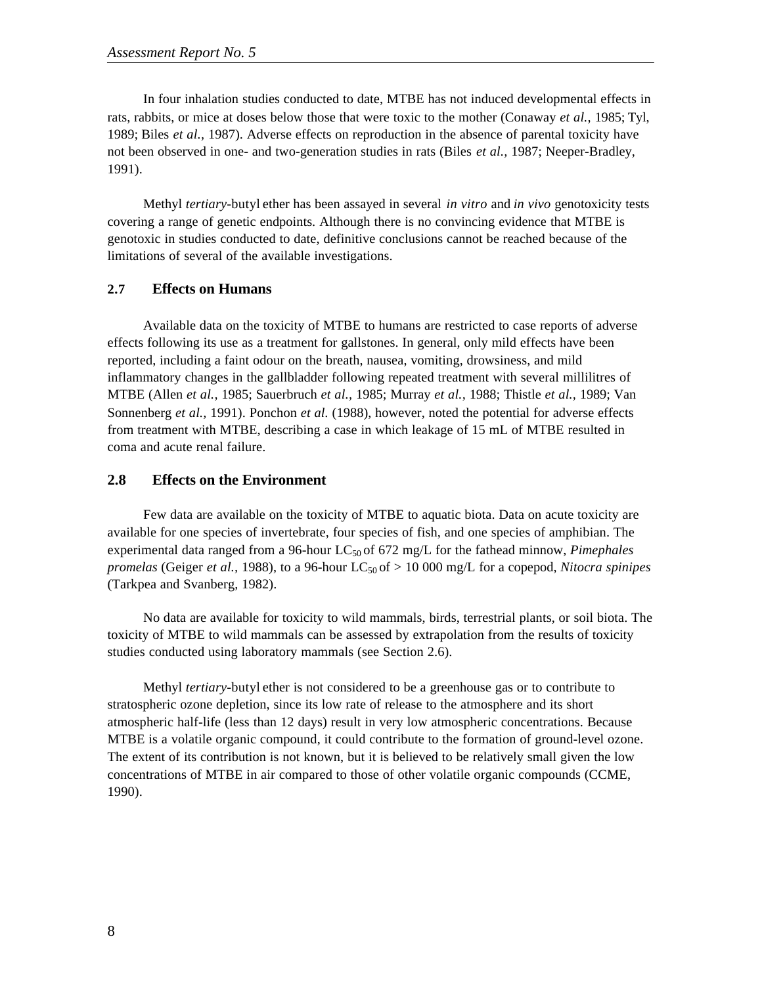In four inhalation studies conducted to date, MTBE has not induced developmental effects in rats, rabbits, or mice at doses below those that were toxic to the mother (Conaway *et al.,* 1985; Tyl, 1989; Biles *et al.,* 1987). Adverse effects on reproduction in the absence of parental toxicity have not been observed in one- and two-generation studies in rats (Biles *et al.,* 1987; Neeper-Bradley, 1991).

Methyl *tertiary-*butyl ether has been assayed in several *in vitro* and *in vivo* genotoxicity tests covering a range of genetic endpoints. Although there is no convincing evidence that MTBE is genotoxic in studies conducted to date, definitive conclusions cannot be reached because of the limitations of several of the available investigations.

#### **2.7 Effects on Humans**

Available data on the toxicity of MTBE to humans are restricted to case reports of adverse effects following its use as a treatment for gallstones. In general, only mild effects have been reported, including a faint odour on the breath, nausea, vomiting, drowsiness, and mild inflammatory changes in the gallbladder following repeated treatment with several millilitres of MTBE (Allen *et al.,* 1985; Sauerbruch *et al.,* 1985; Murray *et al.,* 1988; Thistle *et al.,* 1989; Van Sonnenberg *et al.,* 1991). Ponchon *et al.* (1988), however, noted the potential for adverse effects from treatment with MTBE, describing a case in which leakage of 15 mL of MTBE resulted in coma and acute renal failure.

### **2.8 Effects on the Environment**

Few data are available on the toxicity of MTBE to aquatic biota. Data on acute toxicity are available for one species of invertebrate, four species of fish, and one species of amphibian. The experimental data ranged from a 96-hour LC<sub>50</sub> of 672 mg/L for the fathead minnow, *Pimephales promelas* (Geiger *et al.,* 1988), to a 96-hour LC<sub>50</sub> of  $> 10000$  mg/L for a copepod, *Nitocra spinipes* (Tarkpea and Svanberg, 1982).

No data are available for toxicity to wild mammals, birds, terrestrial plants, or soil biota. The toxicity of MTBE to wild mammals can be assessed by extrapolation from the results of toxicity studies conducted using laboratory mammals (see Section 2.6).

Methyl *tertiary-*butyl ether is not considered to be a greenhouse gas or to contribute to stratospheric ozone depletion, since its low rate of release to the atmosphere and its short atmospheric half-life (less than 12 days) result in very low atmospheric concentrations. Because MTBE is a volatile organic compound, it could contribute to the formation of ground-level ozone. The extent of its contribution is not known, but it is believed to be relatively small given the low concentrations of MTBE in air compared to those of other volatile organic compounds (CCME, 1990).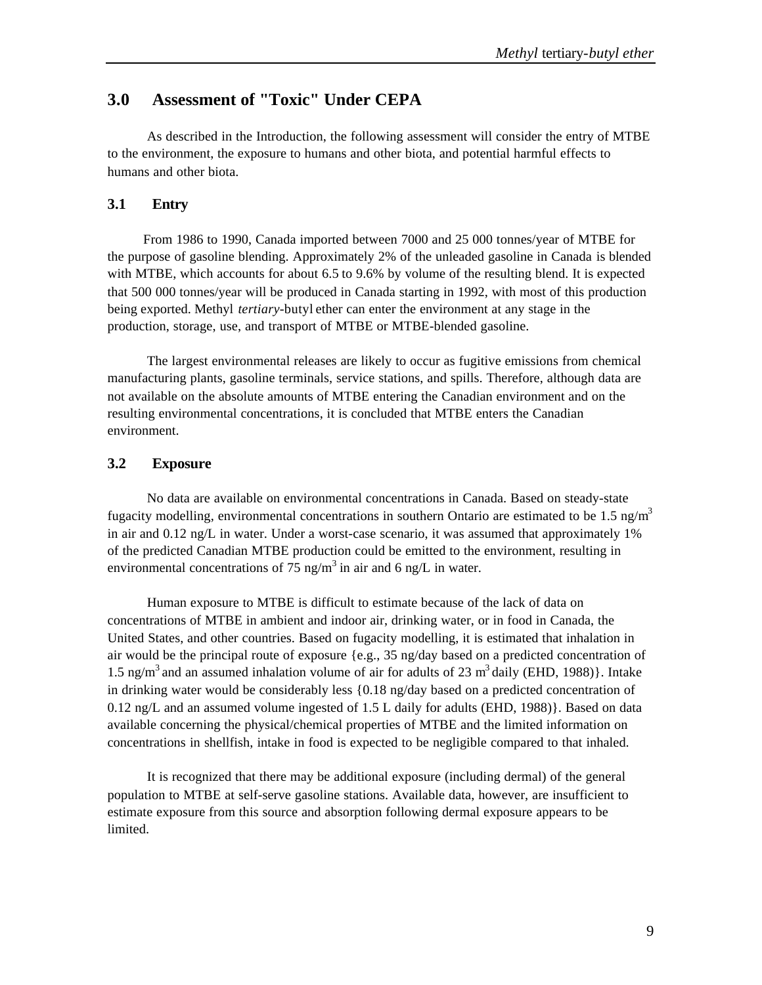# **3.0 Assessment of "Toxic" Under CEPA**

As described in the Introduction, the following assessment will consider the entry of MTBE to the environment, the exposure to humans and other biota, and potential harmful effects to humans and other biota.

### **3.1 Entry**

From 1986 to 1990, Canada imported between 7000 and 25 000 tonnes/year of MTBE for the purpose of gasoline blending. Approximately 2% of the unleaded gasoline in Canada is blended with MTBE, which accounts for about 6.5 to 9.6% by volume of the resulting blend. It is expected that 500 000 tonnes/year will be produced in Canada starting in 1992, with most of this production being exported. Methyl *tertiary-*butyl ether can enter the environment at any stage in the production, storage, use, and transport of MTBE or MTBE-blended gasoline.

The largest environmental releases are likely to occur as fugitive emissions from chemical manufacturing plants, gasoline terminals, service stations, and spills. Therefore, although data are not available on the absolute amounts of MTBE entering the Canadian environment and on the resulting environmental concentrations, it is concluded that MTBE enters the Canadian environment.

### **3.2 Exposure**

No data are available on environmental concentrations in Canada. Based on steady-state fugacity modelling, environmental concentrations in southern Ontario are estimated to be 1.5  $\frac{ng}{m^3}$ in air and 0.12 ng/L in water. Under a worst-case scenario, it was assumed that approximately 1% of the predicted Canadian MTBE production could be emitted to the environment, resulting in environmental concentrations of 75 ng/m<sup>3</sup> in air and 6 ng/L in water.

Human exposure to MTBE is difficult to estimate because of the lack of data on concentrations of MTBE in ambient and indoor air, drinking water, or in food in Canada, the United States, and other countries. Based on fugacity modelling, it is estimated that inhalation in air would be the principal route of exposure {e.g., 35 ng/day based on a predicted concentration of 1.5 ng/m<sup>3</sup> and an assumed inhalation volume of air for adults of 23 m<sup>3</sup> daily (EHD, 1988)}. Intake in drinking water would be considerably less {0.18 ng/day based on a predicted concentration of 0.12 ng/L and an assumed volume ingested of 1.5 L daily for adults (EHD, 1988)}. Based on data available concerning the physical/chemical properties of MTBE and the limited information on concentrations in shellfish, intake in food is expected to be negligible compared to that inhaled.

It is recognized that there may be additional exposure (including dermal) of the general population to MTBE at self-serve gasoline stations. Available data, however, are insufficient to estimate exposure from this source and absorption following dermal exposure appears to be limited.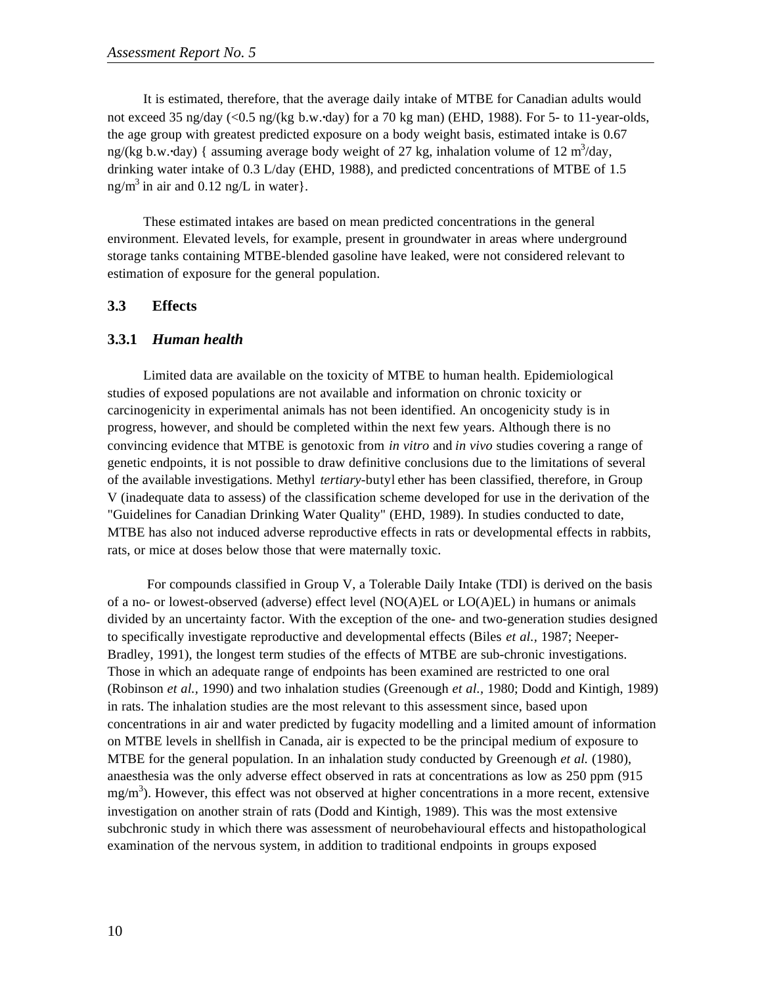It is estimated, therefore, that the average daily intake of MTBE for Canadian adults would not exceed 35 ng/day (<0.5 ng/(kg b.w.**·**day) for a 70 kg man) (EHD, 1988). For 5- to 11-year-olds, the age group with greatest predicted exposure on a body weight basis, estimated intake is 0.67 ng/(kg b.w.·day) { assuming average body weight of 27 kg, inhalation volume of 12 m<sup>3</sup>/day, drinking water intake of 0.3 L/day (EHD, 1988), and predicted concentrations of MTBE of 1.5  $n\frac{g}{m^3}$  in air and 0.12 ng/L in water }.

These estimated intakes are based on mean predicted concentrations in the general environment. Elevated levels, for example, present in groundwater in areas where underground storage tanks containing MTBE-blended gasoline have leaked, were not considered relevant to estimation of exposure for the general population.

#### **3.3 Effects**

#### **3.3.1** *Human health*

Limited data are available on the toxicity of MTBE to human health. Epidemiological studies of exposed populations are not available and information on chronic toxicity or carcinogenicity in experimental animals has not been identified. An oncogenicity study is in progress, however, and should be completed within the next few years. Although there is no convincing evidence that MTBE is genotoxic from *in vitro* and *in vivo* studies covering a range of genetic endpoints, it is not possible to draw definitive conclusions due to the limitations of several of the available investigations. Methyl *tertiary-*butyl ether has been classified, therefore, in Group V (inadequate data to assess) of the classification scheme developed for use in the derivation of the "Guidelines for Canadian Drinking Water Quality" (EHD, 1989). In studies conducted to date, MTBE has also not induced adverse reproductive effects in rats or developmental effects in rabbits, rats, or mice at doses below those that were maternally toxic.

For compounds classified in Group V, a Tolerable Daily Intake (TDI) is derived on the basis of a no- or lowest-observed (adverse) effect level (NO(A)EL or LO(A)EL) in humans or animals divided by an uncertainty factor. With the exception of the one- and two-generation studies designed to specifically investigate reproductive and developmental effects (Biles *et al.,* 1987; Neeper-Bradley, 1991), the longest term studies of the effects of MTBE are sub-chronic investigations. Those in which an adequate range of endpoints has been examined are restricted to one oral (Robinson *et al.,* 1990) and two inhalation studies (Greenough *et al.,* 1980; Dodd and Kintigh, 1989) in rats. The inhalation studies are the most relevant to this assessment since, based upon concentrations in air and water predicted by fugacity modelling and a limited amount of information on MTBE levels in shellfish in Canada, air is expected to be the principal medium of exposure to MTBE for the general population. In an inhalation study conducted by Greenough *et al.* (1980), anaesthesia was the only adverse effect observed in rats at concentrations as low as 250 ppm (915 mg/m<sup>3</sup>). However, this effect was not observed at higher concentrations in a more recent, extensive investigation on another strain of rats (Dodd and Kintigh, 1989). This was the most extensive subchronic study in which there was assessment of neurobehavioural effects and histopathological examination of the nervous system, in addition to traditional endpoints in groups exposed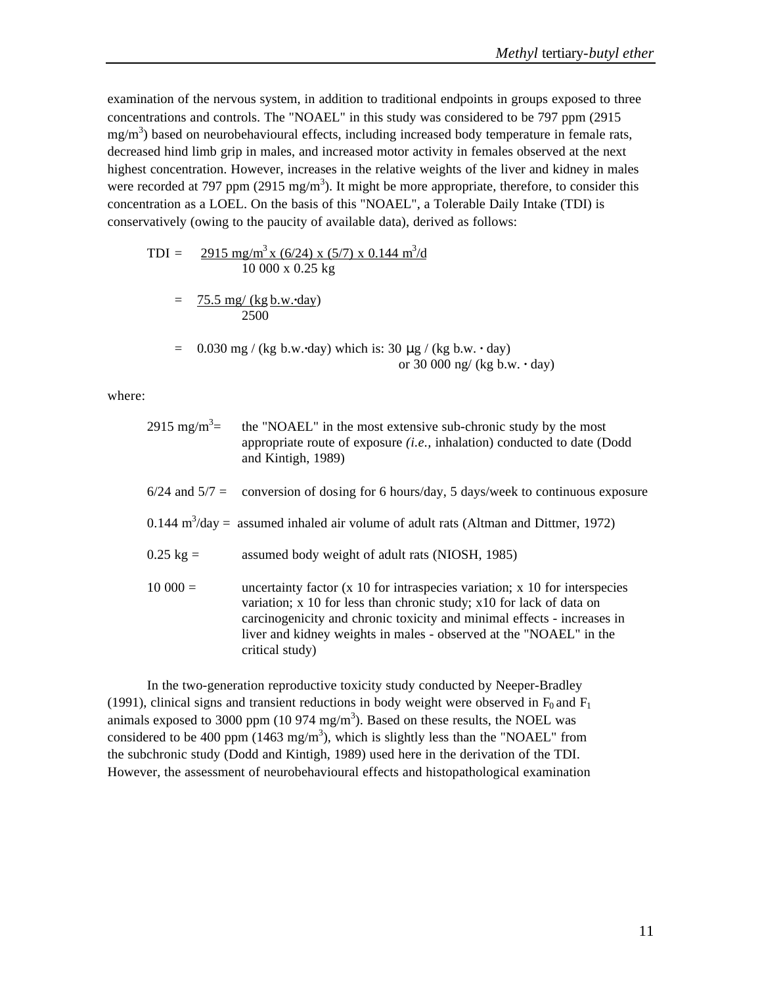examination of the nervous system, in addition to traditional endpoints in groups exposed to three concentrations and controls. The "NOAEL" in this study was considered to be 797 ppm (2915  $mg/m<sup>3</sup>$ ) based on neurobehavioural effects, including increased body temperature in female rats, decreased hind limb grip in males, and increased motor activity in females observed at the next highest concentration. However, increases in the relative weights of the liver and kidney in males were recorded at 797 ppm (2915 mg/m<sup>3</sup>). It might be more appropriate, therefore, to consider this concentration as a LOEL. On the basis of this "NOAEL", a Tolerable Daily Intake (TDI) is conservatively (owing to the paucity of available data), derived as follows:

$$
TDI = \frac{2915 \text{ mg/m}^3 \times (6/24) \times (5/7) \times 0.144 \text{ m}^3/\text{d}}{10\ 000 \times 0.25 \text{ kg}}
$$
  
= 
$$
\frac{75.5 \text{ mg}/(\text{kg b.w.-day})}{2500}
$$
  
= 0.030 mg/(kg b.w.-day) which is: 30 mg/(kg b.w.-dy))

= 0.030 mg / (kg b.w.**·**day) which is: 30 μg / (kg b.w. **·** day) or 30 000 ng/ (kg b.w. **·** day)

where:

| 2915 mg/m <sup>3</sup> = | the "NOAEL" in the most extensive sub-chronic study by the most<br>appropriate route of exposure $(i.e.,$ inhalation) conducted to date (Dodd<br>and Kintigh, 1989)                                                                                                                                                    |
|--------------------------|------------------------------------------------------------------------------------------------------------------------------------------------------------------------------------------------------------------------------------------------------------------------------------------------------------------------|
|                          | $6/24$ and $5/7 =$ conversion of dosing for 6 hours/day, 5 days/week to continuous exposure                                                                                                                                                                                                                            |
|                          | $0.144 \text{ m}^3/\text{day}$ = assumed inhaled air volume of adult rats (Altman and Dittmer, 1972)                                                                                                                                                                                                                   |
| $0.25 \text{ kg} =$      | assumed body weight of adult rats (NIOSH, 1985)                                                                                                                                                                                                                                                                        |
| $10000 =$                | uncertainty factor (x 10 for intraspecies variation; x 10 for interspecies<br>variation; x 10 for less than chronic study; x10 for lack of data on<br>carcinogenicity and chronic toxicity and minimal effects - increases in<br>liver and kidney weights in males - observed at the "NOAEL" in the<br>critical study) |

In the two-generation reproductive toxicity study conducted by Neeper-Bradley (1991), clinical signs and transient reductions in body weight were observed in  $F_0$  and  $F_1$ animals exposed to 3000 ppm (10 974 mg/m<sup>3</sup>). Based on these results, the NOEL was considered to be 400 ppm (1463 mg/m<sup>3</sup>), which is slightly less than the "NOAEL" from the subchronic study (Dodd and Kintigh, 1989) used here in the derivation of the TDI. However, the assessment of neurobehavioural effects and histopathological examination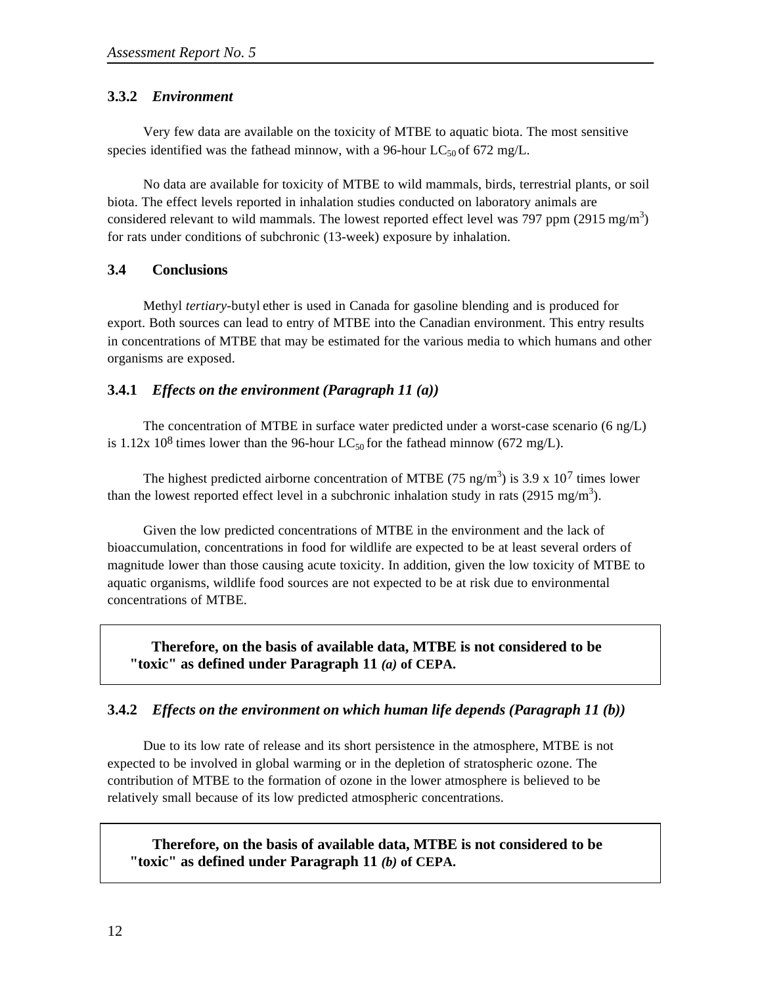## **3.3.2** *Environment*

Very few data are available on the toxicity of MTBE to aquatic biota. The most sensitive species identified was the fathead minnow, with a 96-hour  $LC_{50}$  of 672 mg/L.

No data are available for toxicity of MTBE to wild mammals, birds, terrestrial plants, or soil biota. The effect levels reported in inhalation studies conducted on laboratory animals are considered relevant to wild mammals. The lowest reported effect level was 797 ppm (2915 mg/m<sup>3</sup>) for rats under conditions of subchronic (13-week) exposure by inhalation.

## **3.4 Conclusions**

Methyl *tertiary-*butyl ether is used in Canada for gasoline blending and is produced for export. Both sources can lead to entry of MTBE into the Canadian environment. This entry results in concentrations of MTBE that may be estimated for the various media to which humans and other organisms are exposed.

## **3.4.1** *Effects on the environment (Paragraph 11 (a))*

The concentration of MTBE in surface water predicted under a worst-case scenario (6 ng/L) is 1.12x 10<sup>8</sup> times lower than the 96-hour LC<sub>50</sub> for the fathead minnow (672 mg/L).

The highest predicted airborne concentration of MTBE (75 ng/m<sup>3</sup>) is 3.9 x 10<sup>7</sup> times lower than the lowest reported effect level in a subchronic inhalation study in rats (2915 mg/m<sup>3</sup>).

Given the low predicted concentrations of MTBE in the environment and the lack of bioaccumulation, concentrations in food for wildlife are expected to be at least several orders of magnitude lower than those causing acute toxicity. In addition, given the low toxicity of MTBE to aquatic organisms, wildlife food sources are not expected to be at risk due to environmental concentrations of MTBE.

**Therefore, on the basis of available data, MTBE is not considered to be "toxic" as defined under Paragraph 11** *(a)* **of CEPA.**

## **3.4.2** *Effects on the environment on which human life depends (Paragraph 11 (b))*

Due to its low rate of release and its short persistence in the atmosphere, MTBE is not expected to be involved in global warming or in the depletion of stratospheric ozone. The contribution of MTBE to the formation of ozone in the lower atmosphere is believed to be relatively small because of its low predicted atmospheric concentrations.

**Therefore, on the basis of available data, MTBE is not considered to be "toxic" as defined under Paragraph 11** *(b)* **of CEPA.**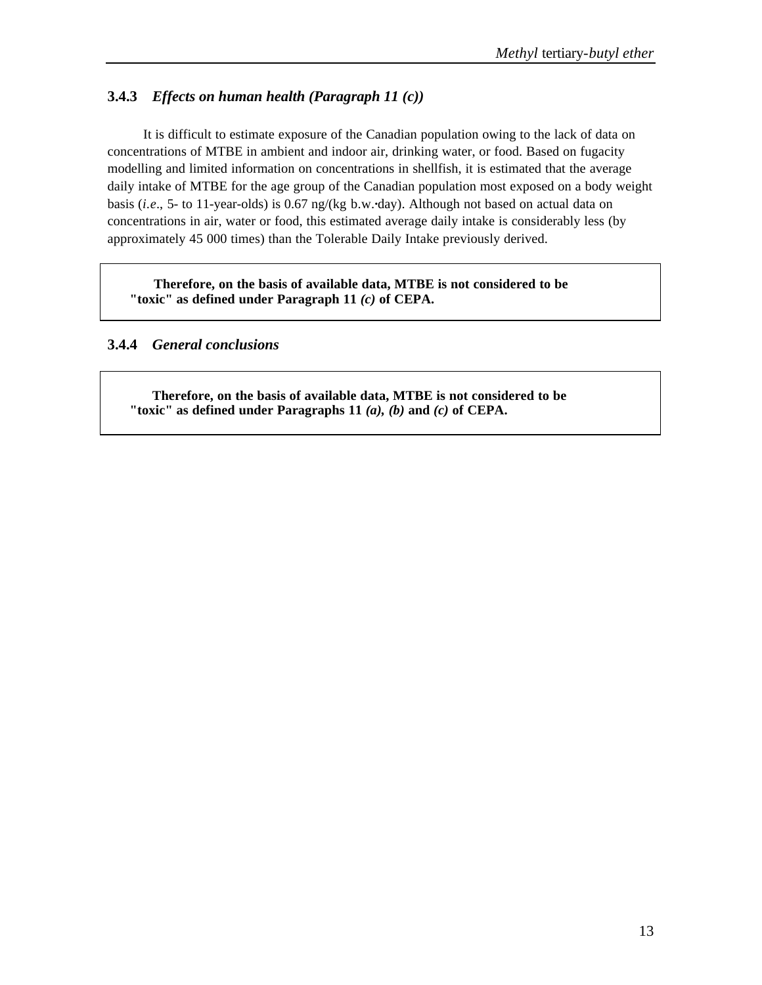## **3.4.3** *Effects on human health (Paragraph 11 (c))*

It is difficult to estimate exposure of the Canadian population owing to the lack of data on concentrations of MTBE in ambient and indoor air, drinking water, or food. Based on fugacity modelling and limited information on concentrations in shellfish, it is estimated that the average daily intake of MTBE for the age group of the Canadian population most exposed on a body weight basis (*i.e.*, 5- to 11-year-olds) is 0.67 ng/(kg b.w.**·**day). Although not based on actual data on concentrations in air, water or food, this estimated average daily intake is considerably less (by approximately 45 000 times) than the Tolerable Daily Intake previously derived.

**Therefore, on the basis of available data, MTBE is not considered to be "toxic" as defined under Paragraph 11** *(c)* **of CEPA.**

## **3.4.4** *General conclusions*

**Therefore, on the basis of available data, MTBE is not considered to be "toxic" as defined under Paragraphs 11** *(a), (b)* **and** *(c)* **of CEPA.**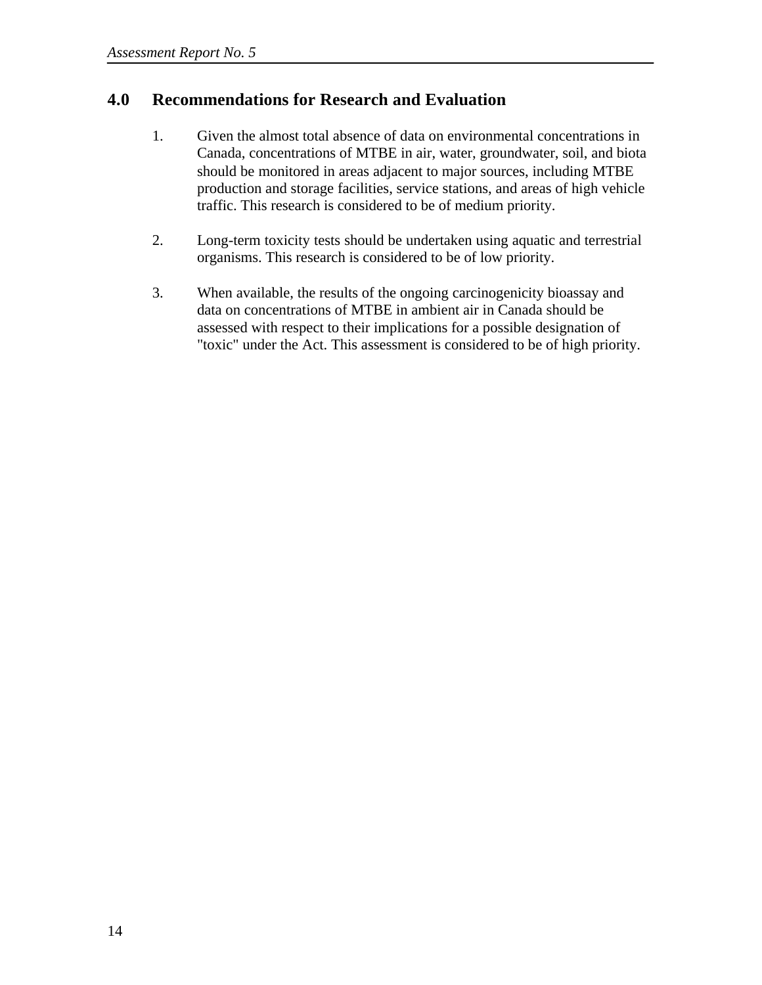# **4.0 Recommendations for Research and Evaluation**

- 1. Given the almost total absence of data on environmental concentrations in Canada, concentrations of MTBE in air, water, groundwater, soil, and biota should be monitored in areas adjacent to major sources, including MTBE production and storage facilities, service stations, and areas of high vehicle traffic. This research is considered to be of medium priority.
- 2. Long-term toxicity tests should be undertaken using aquatic and terrestrial organisms. This research is considered to be of low priority.
- 3. When available, the results of the ongoing carcinogenicity bioassay and data on concentrations of MTBE in ambient air in Canada should be assessed with respect to their implications for a possible designation of "toxic" under the Act. This assessment is considered to be of high priority.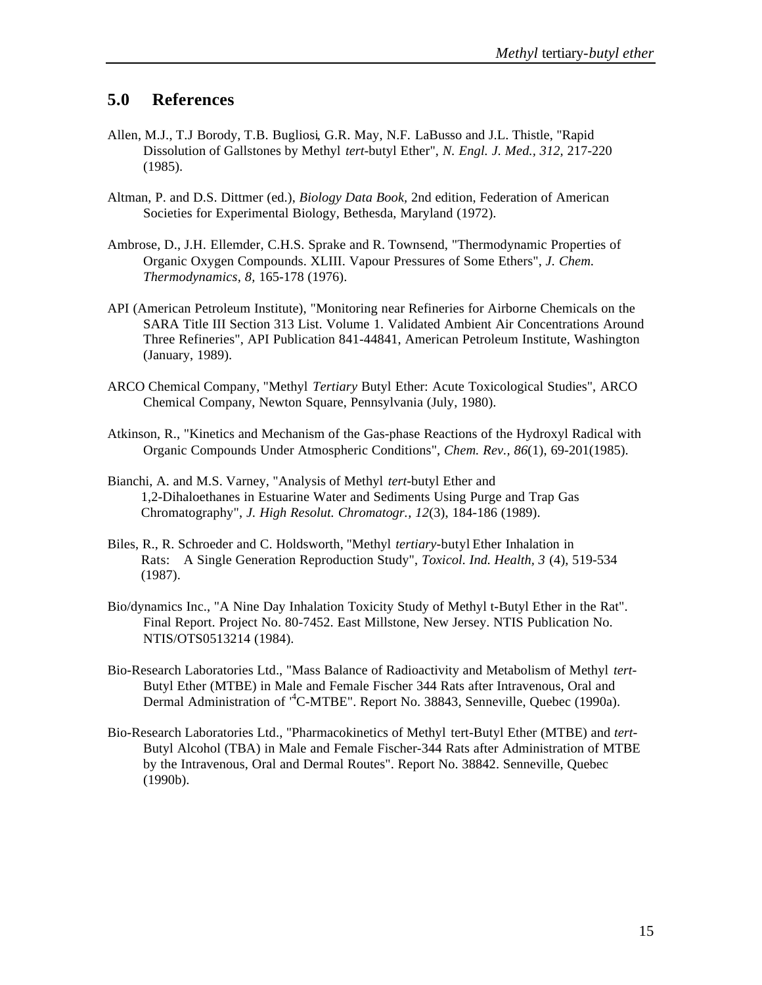# **5.0 References**

- Allen, M.J., T.J Borody, T.B. Bugliosi, G.R. May, N.F. LaBusso and J.L. Thistle, "Rapid Dissolution of Gallstones by Methyl *tert-*butyl Ether", *N. Engl. J. Med., 312,* 217-220 (1985).
- Altman, P. and D.S. Dittmer (ed.), *Biology Data Book,* 2nd edition, Federation of American Societies for Experimental Biology, Bethesda, Maryland (1972).
- Ambrose, D., J.H. Ellemder, C.H.S. Sprake and R. Townsend, "Thermodynamic Properties of Organic Oxygen Compounds. XLIII. Vapour Pressures of Some Ethers", *J. Chem. Thermodynamics, 8,* 165-178 (1976).
- API (American Petroleum Institute), "Monitoring near Refineries for Airborne Chemicals on the SARA Title III Section 313 List. Volume 1. Validated Ambient Air Concentrations Around Three Refineries", API Publication 841-44841, American Petroleum Institute, Washington (January, 1989).
- ARCO Chemical Company, "Methyl *Tertiary* Butyl Ether: Acute Toxicological Studies", ARCO Chemical Company, Newton Square, Pennsylvania (July, 1980).
- Atkinson, R., "Kinetics and Mechanism of the Gas-phase Reactions of the Hydroxyl Radical with Organic Compounds Under Atmospheric Conditions", *Chem. Rev., 86*(1), 69-201(1985).
- Bianchi, A. and M.S. Varney, "Analysis of Methyl *tert-*butyl Ether and 1,2-Dihaloethanes in Estuarine Water and Sediments Using Purge and Trap Gas Chromatography", *J. High Resolut. Chromatogr., 12*(3), 184-186 (1989).
- Biles, R., R. Schroeder and C. Holdsworth, "Methyl *tertiary-*butyl Ether Inhalation in Rats: A Single Generation Reproduction Study", *Toxicol. Ind. Health, 3* (4), 519-534 (1987).
- Bio/dynamics Inc., "A Nine Day Inhalation Toxicity Study of Methyl t-Butyl Ether in the Rat". Final Report. Project No. 80-7452. East Millstone, New Jersey. NTIS Publication No. NTIS/OTS0513214 (1984).
- Bio-Research Laboratories Ltd., "Mass Balance of Radioactivity and Metabolism of Methyl *tert-*Butyl Ether (MTBE) in Male and Female Fischer 344 Rats after Intravenous, Oral and Dermal Administration of <sup>4</sup>C-MTBE". Report No. 38843, Senneville, Quebec (1990a).
- Bio-Research Laboratories Ltd., "Pharmacokinetics of Methyl tert-Butyl Ether (MTBE) and *tert-*Butyl Alcohol (TBA) in Male and Female Fischer-344 Rats after Administration of MTBE by the Intravenous, Oral and Dermal Routes". Report No. 38842. Senneville, Quebec (1990b).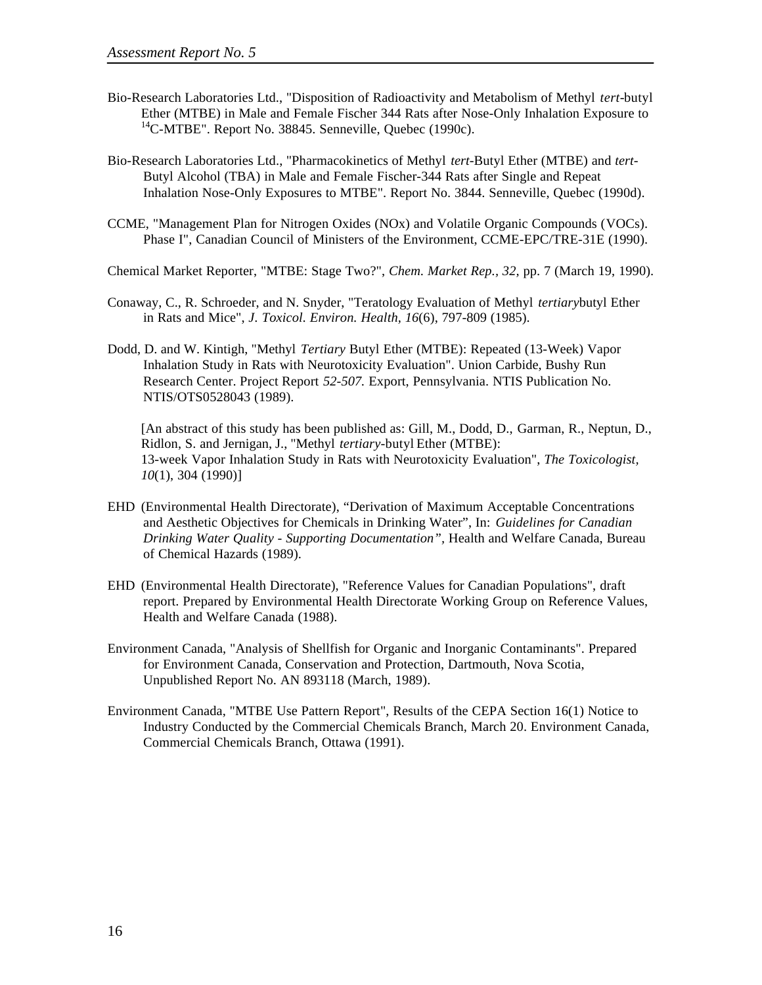- Bio-Research Laboratories Ltd., "Disposition of Radioactivity and Metabolism of Methyl *tert-*butyl Ether (MTBE) in Male and Female Fischer 344 Rats after Nose-Only Inhalation Exposure to  ${}^{14}$ C-MTBE". Report No. 38845. Senneville, Quebec (1990c).
- Bio-Research Laboratories Ltd., "Pharmacokinetics of Methyl *tert-*Butyl Ether (MTBE) and *tert-*Butyl Alcohol (TBA) in Male and Female Fischer-344 Rats after Single and Repeat Inhalation Nose-Only Exposures to MTBE". Report No. 3844. Senneville, Quebec (1990d).
- CCME, "Management Plan for Nitrogen Oxides (NOx) and Volatile Organic Compounds (VOCs). Phase I", Canadian Council of Ministers of the Environment, CCME-EPC/TRE-31E (1990).
- Chemical Market Reporter, "MTBE: Stage Two?", *Chem. Market Rep., 32,* pp. 7 (March 19, 1990).
- Conaway, C., R. Schroeder, and N. Snyder, "Teratology Evaluation of Methyl *tertiary*butyl Ether in Rats and Mice", *J. Toxicol. Environ. Health, 16*(6), 797-809 (1985).
- Dodd, D. and W. Kintigh, "Methyl *Tertiary* Butyl Ether (MTBE): Repeated (13-Week) Vapor Inhalation Study in Rats with Neurotoxicity Evaluation". Union Carbide, Bushy Run Research Center. Project Report *52-507.* Export, Pennsylvania. NTIS Publication No. NTIS/OTS0528043 (1989).

[An abstract of this study has been published as: Gill, M., Dodd, D., Garman, R., Neptun, D., Ridlon, S. and Jernigan, J., "Methyl *tertiary*-butyl Ether (MTBE): 13-week Vapor Inhalation Study in Rats with Neurotoxicity Evaluation", *The Toxicologist, 10*(1), 304 (1990)]

- EHD (Environmental Health Directorate), "Derivation of Maximum Acceptable Concentrations and Aesthetic Objectives for Chemicals in Drinking Water", In: *Guidelines for Canadian Drinking Water Quality - Supporting Documentation",* Health and Welfare Canada, Bureau of Chemical Hazards (1989).
- EHD (Environmental Health Directorate), "Reference Values for Canadian Populations", draft report. Prepared by Environmental Health Directorate Working Group on Reference Values, Health and Welfare Canada (1988).
- Environment Canada, "Analysis of Shellfish for Organic and Inorganic Contaminants". Prepared for Environment Canada, Conservation and Protection, Dartmouth, Nova Scotia, Unpublished Report No. AN 893118 (March, 1989).
- Environment Canada, "MTBE Use Pattern Report", Results of the CEPA Section 16(1) Notice to Industry Conducted by the Commercial Chemicals Branch, March 20. Environment Canada, Commercial Chemicals Branch, Ottawa (1991).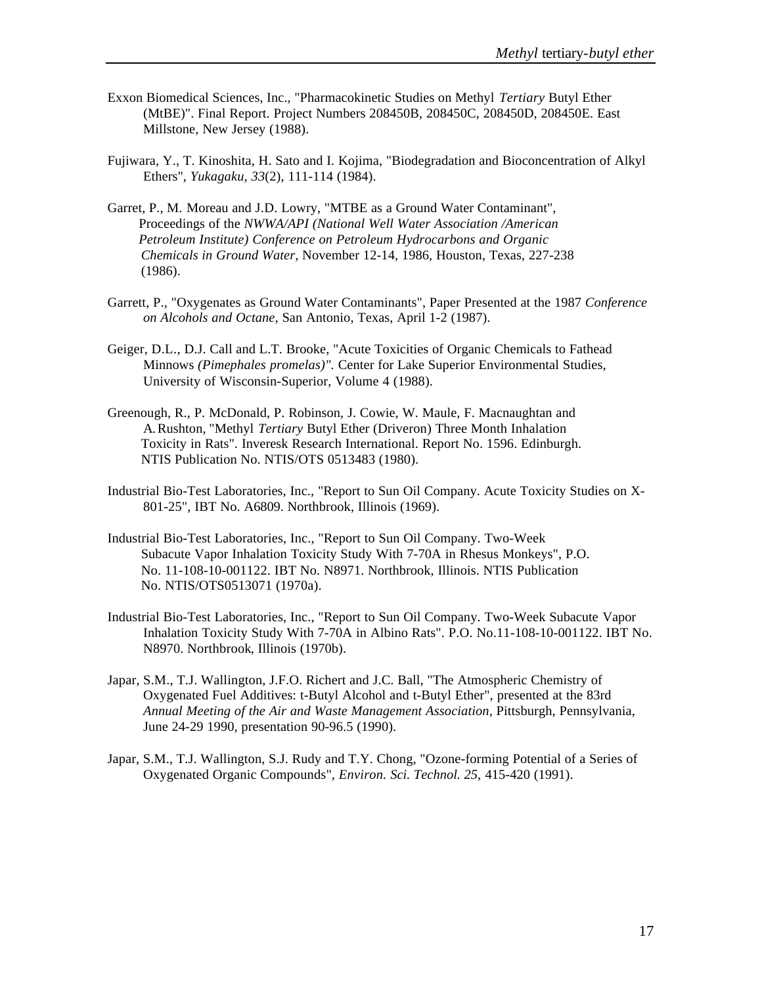- Exxon Biomedical Sciences, Inc., "Pharmacokinetic Studies on Methyl *Tertiary* Butyl Ether (MtBE)". Final Report. Project Numbers 208450B, 208450C, 208450D, 208450E. East Millstone, New Jersey (1988).
- Fujiwara, Y., T. Kinoshita, H. Sato and I. Kojima, "Biodegradation and Bioconcentration of Alkyl Ethers", *Yukagaku, 33*(2), 111-114 (1984).
- Garret, P., M. Moreau and J.D. Lowry, "MTBE as a Ground Water Contaminant", Proceedings of the *NWWA/API (National Well Water Association /American Petroleum Institute) Conference on Petroleum Hydrocarbons and Organic Chemicals in Ground Water,* November 12-14, 1986, Houston, Texas, 227-238 (1986).
- Garrett, P., "Oxygenates as Ground Water Contaminants", Paper Presented at the 1987 *Conference on Alcohols and Octane,* San Antonio, Texas, April 1-2 (1987).
- Geiger, D.L., D.J. Call and L.T. Brooke, "Acute Toxicities of Organic Chemicals to Fathead Minnows *(Pimephales promelas)".* Center for Lake Superior Environmental Studies, University of Wisconsin-Superior, Volume 4 (1988).
- Greenough, R., P. McDonald, P. Robinson, J. Cowie, W. Maule, F. Macnaughtan and A.Rushton, "Methyl *Tertiary* Butyl Ether (Driveron) Three Month Inhalation Toxicity in Rats". Inveresk Research International. Report No. 1596. Edinburgh. NTIS Publication No. NTIS/OTS 0513483 (1980).
- Industrial Bio-Test Laboratories, Inc., "Report to Sun Oil Company. Acute Toxicity Studies on X-801-25", IBT No. A6809. Northbrook, Illinois (1969).
- Industrial Bio-Test Laboratories, Inc., "Report to Sun Oil Company. Two-Week Subacute Vapor Inhalation Toxicity Study With 7-70A in Rhesus Monkeys", P.O. No. 11-108-10-001122. IBT No. N8971. Northbrook, Illinois. NTIS Publication No. NTIS/OTS0513071 (1970a).
- Industrial Bio-Test Laboratories, Inc., "Report to Sun Oil Company. Two-Week Subacute Vapor Inhalation Toxicity Study With 7-70A in Albino Rats". P.O. No.11-108-10-001122. IBT No. N8970. Northbrook, Illinois (1970b).
- Japar, S.M., T.J. Wallington, J.F.O. Richert and J.C. Ball, "The Atmospheric Chemistry of Oxygenated Fuel Additives: t-Butyl Alcohol and t-Butyl Ether", presented at the 83rd *Annual Meeting of the Air and Waste Management Association,* Pittsburgh, Pennsylvania, June 24-29 1990, presentation 90-96.5 (1990).
- Japar, S.M., T.J. Wallington, S.J. Rudy and T.Y. Chong, "Ozone-forming Potential of a Series of Oxygenated Organic Compounds", *Environ. Sci. Technol. 25,* 415-420 (1991).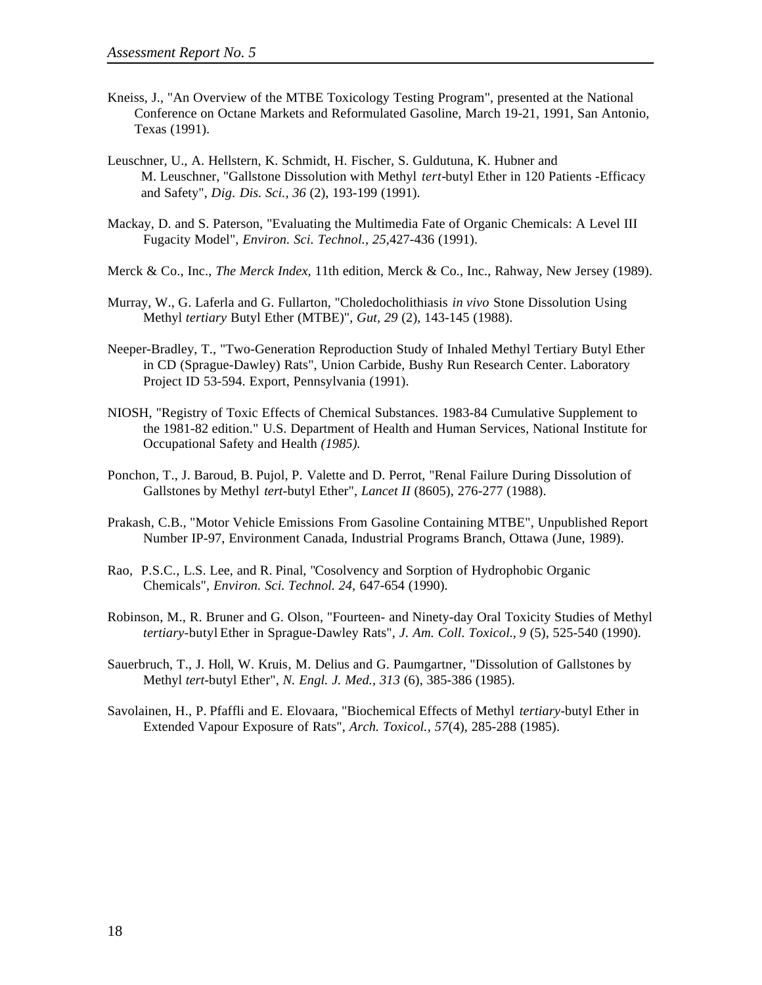- Kneiss, J., "An Overview of the MTBE Toxicology Testing Program", presented at the National Conference on Octane Markets and Reformulated Gasoline, March 19-21, 1991, San Antonio, Texas (1991).
- Leuschner, U., A. Hellstern, K. Schmidt, H. Fischer, S. Guldutuna, K. Hubner and M. Leuschner, "Gallstone Dissolution with Methyl *tert-*butyl Ether in 120 Patients -Efficacy and Safety", *Dig. Dis. Sci., 36* (2), 193-199 (1991).
- Mackay, D. and S. Paterson, "Evaluating the Multimedia Fate of Organic Chemicals: A Level III Fugacity Model", *Environ. Sci. Technol., 25,*427-436 (1991).
- Merck & Co., Inc., *The Merck Index,* 11th edition, Merck & Co., Inc., Rahway, New Jersey (1989).
- Murray, W., G. Laferla and G. Fullarton, "Choledocholithiasis *in vivo* Stone Dissolution Using Methyl *tertiary* Butyl Ether (MTBE)", *Gut, 29* (2), 143-145 (1988).
- Neeper-Bradley, T., "Two-Generation Reproduction Study of Inhaled Methyl Tertiary Butyl Ether in CD (Sprague-Dawley) Rats", Union Carbide, Bushy Run Research Center. Laboratory Project ID 53-594. Export, Pennsylvania (1991).
- NIOSH, "Registry of Toxic Effects of Chemical Substances. 1983-84 Cumulative Supplement to the 1981-82 edition." U.S. Department of Health and Human Services, National Institute for Occupational Safety and Health *(1985).*
- Ponchon, T., J. Baroud, B. Pujol, P. Valette and D. Perrot, "Renal Failure During Dissolution of Gallstones by Methyl *tert-*butyl Ether", *Lancet II* (8605), 276-277 (1988).
- Prakash, C.B., "Motor Vehicle Emissions From Gasoline Containing MTBE", Unpublished Report Number IP-97, Environment Canada, Industrial Programs Branch, Ottawa (June, 1989).
- Rao, P.S.C., L.S. Lee, and R. Pinal, "Cosolvency and Sorption of Hydrophobic Organic Chemicals", *Environ. Sci. Technol. 24,* 647-654 (1990).
- Robinson, M., R. Bruner and G. Olson, "Fourteen- and Ninety-day Oral Toxicity Studies of Methyl *tertiary*-butyl Ether in Sprague-Dawley Rats", *J. Am. Coll. Toxicol., 9* (5), 525-540 (1990).
- Sauerbruch, T., J. Holl, W. Kruis, M. Delius and G. Paumgartner, "Dissolution of Gallstones by Methyl *tert-*butyl Ether", *N. Engl. J. Med., 313* (6), 385-386 (1985).
- Savolainen, H., P. Pfaffli and E. Elovaara, "Biochemical Effects of Methyl *tertiary*-butyl Ether in Extended Vapour Exposure of Rats", *Arch. Toxicol., 57*(4), 285-288 (1985).